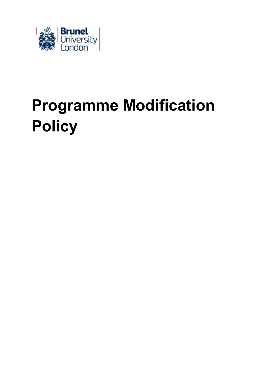

# **Programme Modification Policy**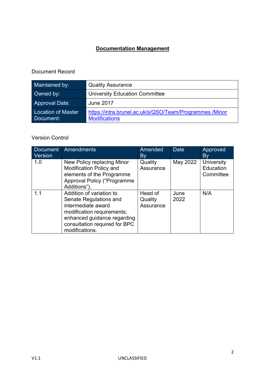# **Documentation Management**

# Document Record

| Maintained by:                  | <b>Quality Assurance</b>                                                       |
|---------------------------------|--------------------------------------------------------------------------------|
| Owned by:                       | <b>University Education Committee</b>                                          |
| <b>Approval Date:</b>           | <b>June 2017</b>                                                               |
| Location of Master<br>Document: | https://intra.brunel.ac.uk/s/QSO/Team/Programmes/Minor<br><b>Modifications</b> |

#### Version Control

| <b>Document</b><br>Version | Amendments                                                                                                                                                                               | Amended<br>By                   | <b>Date</b>  | Approved<br>By                       |
|----------------------------|------------------------------------------------------------------------------------------------------------------------------------------------------------------------------------------|---------------------------------|--------------|--------------------------------------|
| 1.0                        | New Policy replacing Minor<br><b>Modification Policy and</b><br>elements of the Programme<br><b>Approval Policy ("Programme</b><br>Additions").                                          | Quality<br>Assurance            | May 2022     | University<br>Education<br>Committee |
| 1.1                        | Addition of variation to<br>Senate Regulations and<br>intermediate award<br>modification requirements;<br>enhanced guidance regarding<br>consultation required for BPC<br>modifications. | Head of<br>Quality<br>Assurance | June<br>2022 | N/A                                  |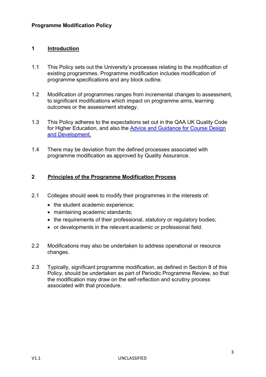#### **1 Introduction**

- 1.1 This Policy sets out the University's processes relating to the modification of existing programmes. Programme modification includes modification of programme specifications and any block outline.
- 1.2 Modification of programmes ranges from incremental changes to assessment, to significant modifications which impact on programme aims, learning outcomes or the assessment strategy.
- 1.3 This Policy adheres to the expectations set out in the QAA UK Quality Code for Higher Education, and also the [Advice and Guidance for Course Design](https://www.qaa.ac.uk/en/quality-code/advice-and-guidance)  [and Development.](https://www.qaa.ac.uk/en/quality-code/advice-and-guidance)
- 1.4 There may be deviation from the defined processes associated with programme modification as approved by Quality Assurance.

#### **2 Principles of the Programme Modification Process**

- 2.1 Colleges should seek to modify their programmes in the interests of:
	- the student academic experience;
	- maintaining academic standards;
	- the requirements of their professional, statutory or requiatory bodies;
	- or developments in the relevant academic or professional field.
- 2.2 Modifications may also be undertaken to address operational or resource changes.
- 2.3 Typically, significant programme modification, as defined in Section 8 of this Policy, should be undertaken as part of Periodic Programme Review, so that the modification may draw on the self-reflection and scrutiny process associated with that procedure.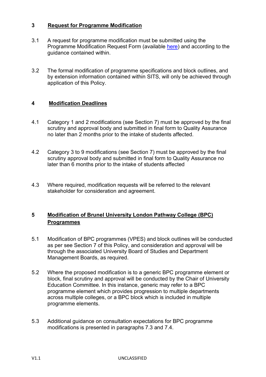#### **3 Request for Programme Modification**

- 3.1 A request for programme modification must be submitted using the Programme Modification Request Form (available [here\)](https://www.brunel.ac.uk/about/quality-assurance/programmes) and according to the guidance contained within.
- 3.2 The formal modification of programme specifications and block outlines, and by extension information contained within SITS, will only be achieved through application of this Policy.

#### **4 Modification Deadlines**

- 4.1 Category 1 and 2 modifications (see Section 7) must be approved by the final scrutiny and approval body and submitted in final form to Quality Assurance no later than 2 months prior to the intake of students affected.
- 4.2 Category 3 to 9 modifications (see Section 7) must be approved by the final scrutiny approval body and submitted in final form to Quality Assurance no later than 6 months prior to the intake of students affected
- 4.3 Where required, modification requests will be referred to the relevant stakeholder for consideration and agreement.

#### **5 Modification of Brunel University London Pathway College (BPC) Programmes**

- 5.1 Modification of BPC programmes (VPES) and block outlines will be conducted as per see Section 7 of this Policy, and consideration and approval will be through the associated University Board of Studies and Department Management Boards, as required.
- 5.2 Where the proposed modification is to a generic BPC programme element or block, final scrutiny and approval will be conducted by the Chair of University Education Committee. In this instance, generic may refer to a BPC programme element which provides progression to multiple departments across multiple colleges, or a BPC block which is included in multiple programme elements.
- 5.3 Additional guidance on consultation expectations for BPC programme modifications is presented in paragraphs 7.3 and 7.4.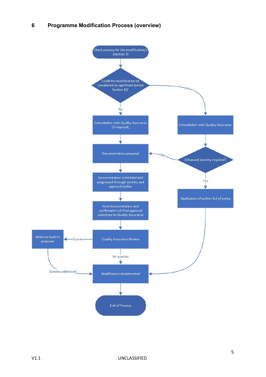#### **6 Programme Modification Process (overview)**

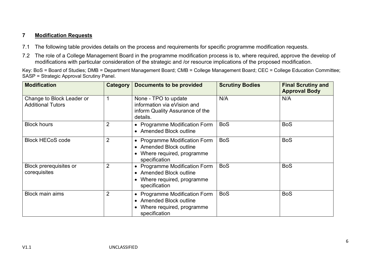#### **7 Modification Requests**

- 7.1 The following table provides details on the process and requirements for specific programme modification requests.
- 7.2 The role of a College Management Board in the programme modification process is to, where required, approve the develop of modifications with particular consideration of the strategic and /or resource implications of the proposed modification.

Key: BoS = Board of Studies; DMB = Department Management Board; CMB = College Management Board; CEC = College Education Committee; SASP = Strategic Approval Scrutiny Panel.

| <b>Modification</b>                                   | Category       | <b>Documents to be provided</b>                                                                                          | <b>Scrutiny Bodies</b> | <b>Final Scrutiny and</b><br><b>Approval Body</b> |
|-------------------------------------------------------|----------------|--------------------------------------------------------------------------------------------------------------------------|------------------------|---------------------------------------------------|
| Change to Block Leader or<br><b>Additional Tutors</b> | 1              | None - TPO to update<br>information via eVision and<br>inform Quality Assurance of the<br>details.                       | N/A                    | N/A                                               |
| <b>Block hours</b>                                    | $\overline{2}$ | • Programme Modification Form<br>• Amended Block outline                                                                 | <b>BoS</b>             | <b>BoS</b>                                        |
| <b>Block HECoS code</b>                               | $\overline{2}$ | • Programme Modification Form<br><b>Amended Block outline</b><br>$\bullet$<br>Where required, programme<br>specification | <b>BoS</b>             | <b>BoS</b>                                        |
| <b>Block prerequisites or</b><br>corequisites         | $\overline{2}$ | • Programme Modification Form<br>• Amended Block outline<br>Where required, programme<br>$\bullet$<br>specification      | <b>BoS</b>             | <b>BoS</b>                                        |
| <b>Block main aims</b>                                | $\overline{2}$ | • Programme Modification Form<br>• Amended Block outline<br>Where required, programme<br>specification                   | <b>BoS</b>             | <b>BoS</b>                                        |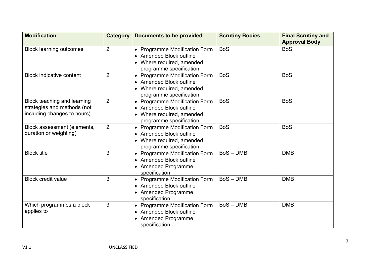| <b>Modification</b>                                                                       | <b>Category</b> | <b>Documents to be provided</b>                                                                                       | <b>Scrutiny Bodies</b> | <b>Final Scrutiny and</b><br><b>Approval Body</b> |
|-------------------------------------------------------------------------------------------|-----------------|-----------------------------------------------------------------------------------------------------------------------|------------------------|---------------------------------------------------|
| <b>Block learning outcomes</b>                                                            | $\overline{2}$  | • Programme Modification Form<br><b>Amended Block outline</b><br>• Where required, amended<br>programme specification | <b>BoS</b>             | <b>BoS</b>                                        |
| <b>Block indicative content</b>                                                           | $\overline{2}$  | • Programme Modification Form<br><b>Amended Block outline</b><br>• Where required, amended<br>programme specification | <b>BoS</b>             | <b>BoS</b>                                        |
| Block teaching and learning<br>strategies and methods (not<br>including changes to hours) | $\overline{2}$  | • Programme Modification Form<br><b>Amended Block outline</b><br>• Where required, amended<br>programme specification | <b>BoS</b>             | <b>BoS</b>                                        |
| Block assessment (elements,<br>duration or weighting)                                     | $\overline{2}$  | • Programme Modification Form<br>• Amended Block outline<br>• Where required, amended<br>programme specification      | <b>BoS</b>             | <b>BoS</b>                                        |
| <b>Block title</b>                                                                        | 3               | • Programme Modification Form<br><b>Amended Block outline</b><br>• Amended Programme<br>specification                 | $BoS - DMB$            | <b>DMB</b>                                        |
| <b>Block credit value</b>                                                                 | 3               | • Programme Modification Form<br>• Amended Block outline<br>• Amended Programme<br>specification                      | $BoS - DMB$            | <b>DMB</b>                                        |
| Which programmes a block<br>applies to                                                    | 3               | • Programme Modification Form<br>• Amended Block outline<br><b>Amended Programme</b><br>specification                 | $BoS - DMB$            | <b>DMB</b>                                        |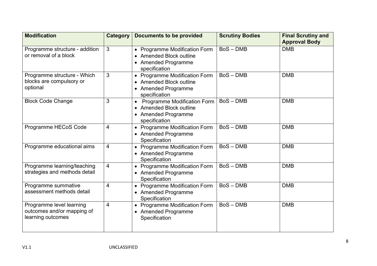| <b>Modification</b>                                                         | Category       | <b>Documents to be provided</b>                                                                                    | <b>Scrutiny Bodies</b> | <b>Final Scrutiny and</b><br><b>Approval Body</b> |
|-----------------------------------------------------------------------------|----------------|--------------------------------------------------------------------------------------------------------------------|------------------------|---------------------------------------------------|
| Programme structure - addition<br>or removal of a block                     | 3              | • Programme Modification Form<br>• Amended Block outline<br>• Amended Programme<br>specification                   | $BoS - DMB$            | <b>DMB</b>                                        |
| Programme structure - Which<br>blocks are compulsory or<br>optional         | 3              | • Programme Modification Form<br>• Amended Block outline<br>• Amended Programme<br>specification                   | $BoS - DMB$            | <b>DMB</b>                                        |
| <b>Block Code Change</b>                                                    | 3              | <b>Programme Modification Form</b><br>$\bullet$<br>• Amended Block outline<br>• Amended Programme<br>specification | $BoS - DMB$            | <b>DMB</b>                                        |
| Programme HECoS Code                                                        | 4              | • Programme Modification Form<br>• Amended Programme<br>Specification                                              | $BoS - DMB$            | <b>DMB</b>                                        |
| Programme educational aims                                                  | $\overline{4}$ | • Programme Modification Form<br>• Amended Programme<br>Specification                                              | $BoS - DMB$            | <b>DMB</b>                                        |
| Programme learning/teaching<br>strategies and methods detail                | 4              | • Programme Modification Form<br>• Amended Programme<br>Specification                                              | $BoS - DMB$            | <b>DMB</b>                                        |
| Programme summative<br>assessment methods detail                            | 4              | • Programme Modification Form<br>• Amended Programme<br>Specification                                              | $BoS - DMB$            | <b>DMB</b>                                        |
| Programme level learning<br>outcomes and/or mapping of<br>learning outcomes | $\overline{4}$ | • Programme Modification Form<br>• Amended Programme<br>Specification                                              | $BoS - DMB$            | <b>DMB</b>                                        |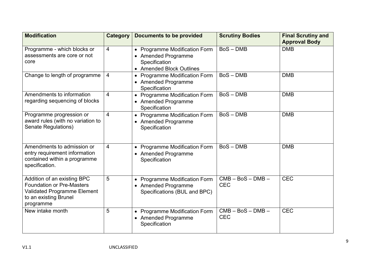| <b>Modification</b>                                                                                                                  | <b>Category</b> | <b>Documents to be provided</b>                                                                                     | <b>Scrutiny Bodies</b>            | <b>Final Scrutiny and</b><br><b>Approval Body</b> |
|--------------------------------------------------------------------------------------------------------------------------------------|-----------------|---------------------------------------------------------------------------------------------------------------------|-----------------------------------|---------------------------------------------------|
| Programme - which blocks or<br>assessments are core or not<br>core                                                                   | $\overline{4}$  | <b>Programme Modification Form</b><br>$\bullet$<br>• Amended Programme<br>Specification<br>• Amended Block Outlines | $BoS - DMB$                       | <b>DMB</b>                                        |
| Change to length of programme                                                                                                        | $\overline{4}$  | <b>Programme Modification Form</b><br>$\bullet$<br>• Amended Programme<br>Specification                             | $BoS - DMB$                       | <b>DMB</b>                                        |
| Amendments to information<br>regarding sequencing of blocks                                                                          | $\overline{4}$  | • Programme Modification Form<br>• Amended Programme<br>Specification                                               | $BoS - DMB$                       | <b>DMB</b>                                        |
| Programme progression or<br>award rules (with no variation to<br>Senate Regulations)                                                 | $\overline{4}$  | • Programme Modification Form<br><b>Amended Programme</b><br>$\bullet$<br>Specification                             | $BoS - DMB$                       | <b>DMB</b>                                        |
| Amendments to admission or<br>entry requirement information<br>contained within a programme<br>specification.                        | $\overline{4}$  | <b>Programme Modification Form</b><br>$\bullet$<br><b>Amended Programme</b><br>Specification                        | $BoS - DMB$                       | <b>DMB</b>                                        |
| Addition of an existing BPC<br><b>Foundation or Pre-Masters</b><br>Validated Programme Element<br>to an existing Brunel<br>programme | 5               | • Programme Modification Form<br>• Amended Programme<br>Specifications (BUL and BPC)                                | $CMB - BoS - DMB -$<br><b>CEC</b> | <b>CEC</b>                                        |
| New intake month                                                                                                                     | 5               | <b>Programme Modification Form</b><br>$\bullet$<br>• Amended Programme<br>Specification                             | $CMB - BoS - DMB -$<br><b>CEC</b> | <b>CEC</b>                                        |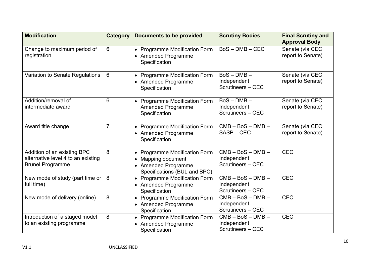| <b>Modification</b>                                                                          | <b>Category</b> | <b>Documents to be provided</b>                                                                                                                           | <b>Scrutiny Bodies</b>                                   | <b>Final Scrutiny and</b>            |
|----------------------------------------------------------------------------------------------|-----------------|-----------------------------------------------------------------------------------------------------------------------------------------------------------|----------------------------------------------------------|--------------------------------------|
|                                                                                              |                 |                                                                                                                                                           |                                                          | <b>Approval Body</b>                 |
| Change to maximum period of<br>registration                                                  | 6               | <b>Programme Modification Form</b><br>$\bullet$<br>• Amended Programme<br>Specification                                                                   | $BoS - DMB - CEC$                                        | Senate (via CEC<br>report to Senate) |
| Variation to Senate Regulations                                                              | 6               | <b>Programme Modification Form</b><br>$\bullet$<br>• Amended Programme<br>Specification                                                                   | $BoS - DMB -$<br>Independent<br><b>Scrutineers - CEC</b> | Senate (via CEC<br>report to Senate) |
| Addition/removal of<br>intermediate award                                                    | 6               | <b>Programme Modification Form</b><br>$\bullet$<br><b>Amended Programme</b><br>Specification                                                              | $BoS - DMB -$<br>Independent<br>Scrutineers - CEC        | Senate (via CEC<br>report to Senate) |
| Award title change                                                                           | 7               | • Programme Modification Form<br>• Amended Programme<br>Specification                                                                                     | $CMB - BoS - DMB -$<br>SASP-CEC                          | Senate (via CEC<br>report to Senate) |
| Addition of an existing BPC<br>alternative level 4 to an existing<br><b>Brunel Programme</b> | 8               | <b>Programme Modification Form</b><br>$\bullet$<br>Mapping document<br>$\bullet$<br><b>Amended Programme</b><br>$\bullet$<br>Specifications (BUL and BPC) | $CMB - BoS - DMB -$<br>Independent<br>Scrutineers - CEC  | <b>CEC</b>                           |
| New mode of study (part time or<br>full time)                                                | 8               | <b>Programme Modification Form</b><br>$\bullet$<br>• Amended Programme<br>Specification                                                                   | $CMB - BoS - DMB -$<br>Independent<br>Scrutineers - CEC  | <b>CEC</b>                           |
| New mode of delivery (online)                                                                | 8               | • Programme Modification Form<br>• Amended Programme<br>Specification                                                                                     | $CMB - BoS - DMB -$<br>Independent<br>Scrutineers - CEC  | <b>CEC</b>                           |
| Introduction of a staged model<br>to an existing programme                                   | 8               | • Programme Modification Form<br>• Amended Programme<br>Specification                                                                                     | $CMB - BoS - DMB -$<br>Independent<br>Scrutineers - CEC  | <b>CEC</b>                           |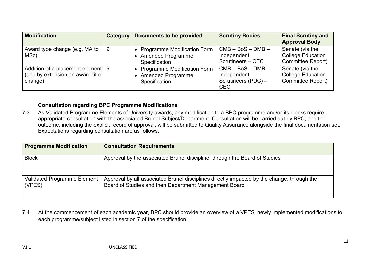| <b>Modification</b>                                                                | <b>Category</b> | <b>Documents to be provided</b>                                                 | <b>Scrutiny Bodies</b>                                                  | <b>Final Scrutiny and</b><br><b>Approval Body</b>                       |
|------------------------------------------------------------------------------------|-----------------|---------------------------------------------------------------------------------|-------------------------------------------------------------------------|-------------------------------------------------------------------------|
| Award type change (e.g. MA to<br>MSc)                                              | -9              | • Programme Modification Form<br><b>Amended Programme</b><br>Specification      | $CMB - BoS - DMB -$<br>Independent<br>Scrutineers - CEC                 | Senate (via the<br><b>College Education</b><br><b>Committee Report)</b> |
| Addition of a placement element   9<br>(and by extension an award title<br>change) |                 | <b>Programme Modification Form</b><br><b>Amended Programme</b><br>Specification | $CMB - BoS - DMB -$<br>Independent<br>Scrutineers (PDC) -<br><b>CEC</b> | Senate (via the<br><b>College Education</b><br><b>Committee Report)</b> |

#### **Consultation regarding BPC Programme Modifications**

7.3 As Validated Programme Elements of University awards, any modification to a BPC programme and/or its blocks require appropriate consultation with the associated Brunel Subject/Department. Consultation will be carried out by BPC, and the outcome, including the explicit record of approval, will be submitted to Quality Assurance alongside the final documentation set. Expectations regarding consultation are as follows:

| <b>Programme Modification</b>                | <b>Consultation Requirements</b>                                                                                                                    |
|----------------------------------------------|-----------------------------------------------------------------------------------------------------------------------------------------------------|
| <b>Block</b>                                 | Approval by the associated Brunel discipline, through the Board of Studies                                                                          |
| <b>Validated Programme Element</b><br>(VPES) | Approval by all associated Brunel disciplines directly impacted by the change, through the<br>Board of Studies and then Department Management Board |

7.4 At the commencement of each academic year, BPC should provide an overview of a VPES' newly implemented modifications to each programme/subject listed in section 7 of the specification.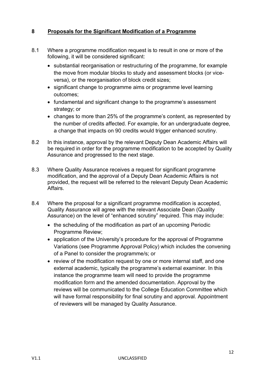#### **8 Proposals for the Significant Modification of a Programme**

- 8.1 Where a programme modification request is to result in one or more of the following, it will be considered significant:
	- substantial reorganisation or restructuring of the programme, for example the move from modular blocks to study and assessment blocks (or viceversa), or the reorganisation of block credit sizes;
	- significant change to programme aims or programme level learning outcomes;
	- fundamental and significant change to the programme's assessment strategy; or
	- changes to more than 25% of the programme's content, as represented by the number of credits affected. For example, for an undergraduate degree, a change that impacts on 90 credits would trigger enhanced scrutiny.
- 8.2 In this instance, approval by the relevant Deputy Dean Academic Affairs will be required in order for the programme modification to be accepted by Quality Assurance and progressed to the next stage.
- 8.3 Where Quality Assurance receives a request for significant programme modification, and the approval of a Deputy Dean Academic Affairs is not provided, the request will be referred to the relevant Deputy Dean Academic Affairs.
- 8.4 Where the proposal for a significant programme modification is accepted, Quality Assurance will agree with the relevant Associate Dean (Quality Assurance) on the level of "enhanced scrutiny" required. This may include:
	- the scheduling of the modification as part of an upcoming Periodic Programme Review;
	- application of the University's procedure for the approval of Programme Variations (see Programme Approval Policy) which includes the convening of a Panel to consider the programme/s; or
	- review of the modification request by one or more internal staff, and one external academic, typically the programme's external examiner. In this instance the programme team will need to provide the programme modification form and the amended documentation. Approval by the reviews will be communicated to the College Education Committee which will have formal responsibility for final scrutiny and approval. Appointment of reviewers will be managed by Quality Assurance.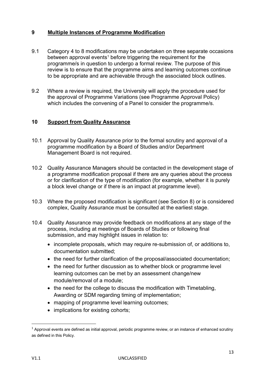#### **9 Multiple Instances of Programme Modification**

- 9.1 Category 4 to 8 modifications may be undertaken on three separate occasions between approval events<sup>[1](#page-12-0)</sup> before triggering the requirement for the programme/s in question to undergo a formal review. The purpose of this review is to ensure that the programme aims and learning outcomes continue to be appropriate and are achievable through the associated block outlines.
- 9.2 Where a review is required, the University will apply the procedure used for the approval of Programme Variations (see Programme Approval Policy) which includes the convening of a Panel to consider the programme/s.

#### **10 Support from Quality Assurance**

- 10.1 Approval by Quality Assurance prior to the formal scrutiny and approval of a programme modification by a Board of Studies and/or Department Management Board is not required.
- 10.2 Quality Assurance Managers should be contacted in the development stage of a programme modification proposal if there are any queries about the process or for clarification of the type of modification (for example, whether it is purely a block level change or if there is an impact at programme level).
- 10.3 Where the proposed modification is significant (see Section 8) or is considered complex, Quality Assurance must be consulted at the earliest stage.
- 10.4 Quality Assurance may provide feedback on modifications at any stage of the process, including at meetings of Boards of Studies or following final submission, and may highlight issues in relation to:
	- incomplete proposals, which may require re-submission of, or additions to, documentation submitted;
	- the need for further clarification of the proposal/associated documentation;
	- the need for further discussion as to whether block or programme level learning outcomes can be met by an assessment change/new module/removal of a module;
	- the need for the college to discuss the modification with Timetabling, Awarding or SDM regarding timing of implementation;
	- mapping of programme level learning outcomes;
	- implications for existing cohorts;

<span id="page-12-0"></span> $1$  Approval events are defined as initial approval, periodic programme review, or an instance of enhanced scrutiny as defined in this Policy.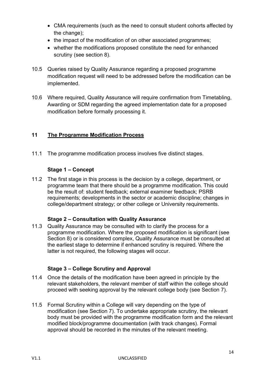- CMA requirements (such as the need to consult student cohorts affected by the change):
- the impact of the modification of on other associated programmes:
- whether the modifications proposed constitute the need for enhanced scrutiny (see section 8).
- 10.5 Queries raised by Quality Assurance regarding a proposed programme modification request will need to be addressed before the modification can be implemented.
- 10.6 Where required, Quality Assurance will require confirmation from Timetabling, Awarding or SDM regarding the agreed implementation date for a proposed modification before formally processing it.

# **11 The Programme Modification Process**

11.1 The programme modification process involves five distinct stages.

# **Stage 1 – Concept**

11.2 The first stage in this process is the decision by a college, department, or programme team that there should be a programme modification. This could be the result of: student feedback; external examiner feedback; PSRB requirements; developments in the sector or academic discipline; changes in college/department strategy; or other college or University requirements.

#### **Stage 2 – Consultation with Quality Assurance**

11.3 Quality Assurance may be consulted with to clarify the process for a programme modification. Where the proposed modification is significant (see Section 8) or is considered complex, Quality Assurance must be consulted at the earliest stage to determine if enhanced scrutiny is required. Where the latter is not required, the following stages will occur.

# **Stage 3 – College Scrutiny and Approval**

- 11.4 Once the details of the modification have been agreed in principle by the relevant stakeholders, the relevant member of staff within the college should proceed with seeking approval by the relevant college body (see Section 7).
- 11.5 Formal Scrutiny within a College will vary depending on the type of modification (see Section 7). To undertake appropriate scrutiny, the relevant body must be provided with the programme modification form and the relevant modified block/programme documentation (with track changes). Formal approval should be recorded in the minutes of the relevant meeting.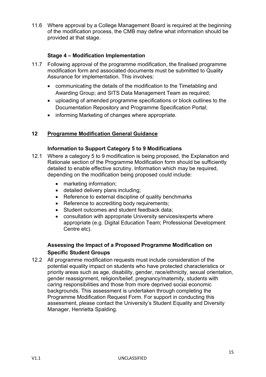11.6 Where approval by a College Management Board is required at the beginning of the modification process, the CMB may define what information should be provided at that stage.

#### **Stage 4 – Modification Implementation**

- 11.7 Following approval of the programme modification, the finalised programme modification form and associated documents must be submitted to Quality Assurance for implementation. This involves:
	- communicating the details of the modification to the Timetabling and Awarding Group; and SITS Data Management Team as required;
	- uploading of amended programme specifications or block outlines to the Documentation Repository and Programme Specification Portal;
	- informing Marketing of changes where appropriate.

#### **12 Programme Modification General Guidance**

#### **Information to Support Category 5 to 9 Modifications**

- 12.1 Where a category 5 to 9 modification is being proposed, the Explanation and Rationale section of the Programme Modification form should be sufficiently detailed to enable effective scrutiny. Information which may be required, depending on the modification being proposed could include:
	- marketing information;
	- detailed delivery plans including;
	- Reference to external discipline of quality benchmarks
	- Reference to accrediting body requirements:
	- Student outcomes and student feedback data;
	- consultation with appropriate University services/experts where appropriate (e.g. Digital Education Team; Professional Development Centre etc).

# **Assessing the Impact of a Proposed Programme Modification on Specific Student Groups**

12.2 All programme modification requests must include consideration of the potential equality impact on students who have protected characteristics or priority areas such as age, disability, gender, race/ethnicity, sexual orientation, gender reassignment, religion/belief, pregnancy/maternity, students with caring responsibilities and those from more deprived social economic backgrounds. This assessment is undertaken through completing the Programme Modification Request Form. For support in conducting this assessment, please contact the University's Student Equality and Diversity Manager, Henrietta Spalding.